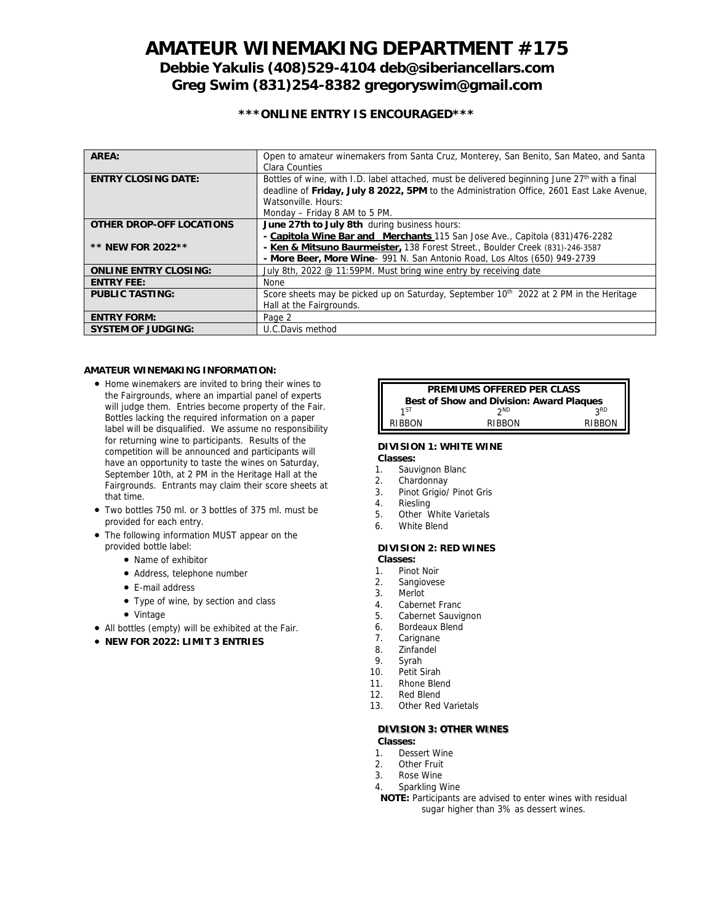# **AMATEUR WINEMAKING DEPARTMENT #175 Debbie Yakulis (408)529-4104 deb@siberiancellars.com Greg Swim (831)254-8382 gregoryswim@gmail.com**

# **\*\*\*ONLINE ENTRY IS ENCOURAGED\*\*\***

| AREA:                        | Open to amateur winemakers from Santa Cruz, Monterey, San Benito, San Mateo, and Santa<br>Clara Counties                                                                                                                                                       |
|------------------------------|----------------------------------------------------------------------------------------------------------------------------------------------------------------------------------------------------------------------------------------------------------------|
| <b>ENTRY CLOSING DATE:</b>   | Bottles of wine, with I.D. label attached, must be delivered beginning June 27 <sup>th</sup> with a final<br>deadline of Friday, July 8 2022, 5PM to the Administration Office, 2601 East Lake Avenue,<br>Watsonville, Hours:<br>Monday - Friday 8 AM to 5 PM. |
| OTHER DROP-OFF LOCATIONS     | June 27th to July 8th during business hours:                                                                                                                                                                                                                   |
|                              | - Capitola Wine Bar and Merchants 115 San Jose Ave., Capitola (831)476-2282                                                                                                                                                                                    |
| ** NEW FOR 2022 **           | - Ken & Mitsuno Baurmeister, 138 Forest Street., Boulder Creek (831)-246-3587                                                                                                                                                                                  |
|                              | - More Beer, More Wine- 991 N. San Antonio Road, Los Altos (650) 949-2739                                                                                                                                                                                      |
| <b>ONLINE ENTRY CLOSING:</b> | July 8th, 2022 @ 11:59PM. Must bring wine entry by receiving date                                                                                                                                                                                              |
| <b>ENTRY FEE:</b>            | None                                                                                                                                                                                                                                                           |
| PUBLIC TASTING:              | Score sheets may be picked up on Saturday, September 10 <sup>th</sup> 2022 at 2 PM in the Heritage<br>Hall at the Fairgrounds.                                                                                                                                 |
| <b>ENTRY FORM:</b>           | Page 2                                                                                                                                                                                                                                                         |
| SYSTEM OF JUDGING:           | U.C.Davis method                                                                                                                                                                                                                                               |

### **AMATEUR WINEMAKING INFORMATION:**

- Home winemakers are invited to bring their wines to the Fairgrounds, where an impartial panel of experts will judge them. Entries become property of the Fair. Bottles lacking the required information on a paper label will be disqualified. We assume no responsibility for returning wine to participants. Results of the competition will be announced and participants will have an opportunity to taste the wines on Saturday, September 10th, at 2 PM in the Heritage Hall at the Fairgrounds. Entrants may claim their score sheets at that time.
- Two bottles 750 ml. or 3 bottles of 375 ml. must be provided for each entry.
- The following information MUST appear on the provided bottle label:
	- Name of exhibitor
	- Address, telephone number
	- E-mail address
	- Type of wine, by section and class
	- Vintage
- All bottles (empty) will be exhibited at the Fair.
- **NEW FOR 2022: LIMIT 3 ENTRIES**

| PREMIUMS OFFERED PER CLASS               |            |            |  |
|------------------------------------------|------------|------------|--|
| Best of Show and Division: Award Plaques |            |            |  |
| 1ST                                      | <b>2ND</b> | <b>2RD</b> |  |
| RIBBON                                   | RIBRON     | RIBBON     |  |

# **DIVISION 1: WHITE WINE**

- **Classes:** 1. Sauvignon Blanc
- 2. Chardonnay
- 3. Pinot Grigio/ Pinot Gris
- 4. Riesling
- 5. Other White Varietals
- 6. White Blend
- 

#### **DIVISION 2: RED WINES Classes:**

- 1. Pinot Noir 2. Sangiovese
- 
- 3. Merlot
- 4. Cabernet Franc<br>5. Cabernet Sauvic
- 5. Cabernet Sauvignon
- 6. Bordeaux Blend<br>7. Carignane
- Carignane 8. Zinfandel
- 
- 9. Syrah<br>10. Petit S
- Petit Sirah 11. Rhone Blend
- 
- 12. Red Blend<br>13. Other Red Other Red Varietals

### **DIVISION 3: OTHER WINES**

**Classes:**

- 1. Dessert Wine
- 2. Other Fruit
- 3. Rose Wine
- 4. Sparkling Wine
- **NOTE:** Participants are advised to enter wines with residual sugar higher than 3% as dessert wines.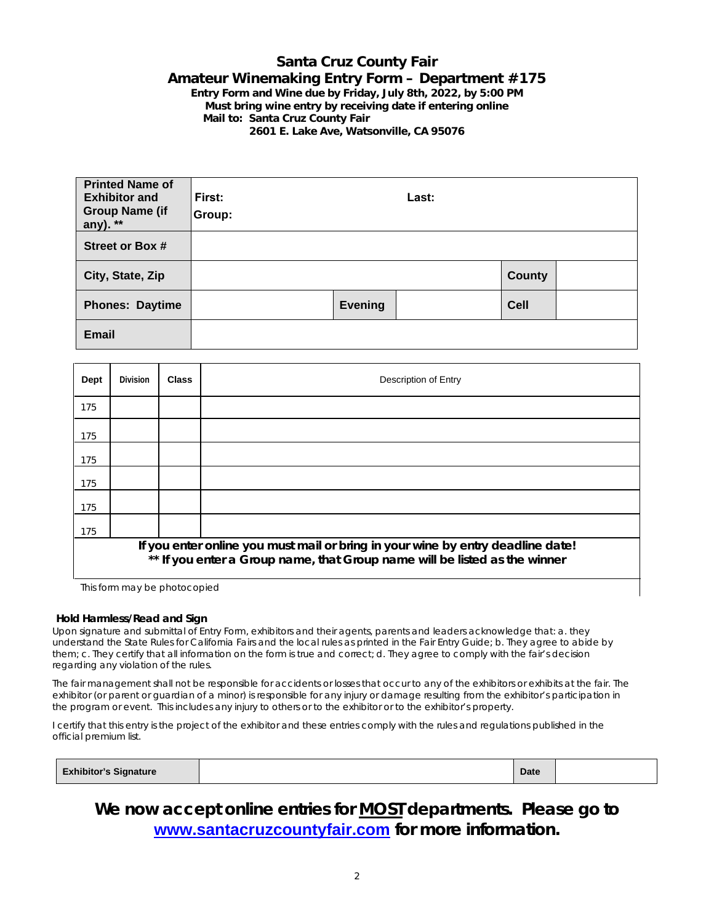# **Santa Cruz County Fair Amateur Winemaking Entry Form – Department #175 Entry Form and Wine due by Friday, July 8th, 2022, by 5:00 PM Must bring wine entry by receiving date if entering online Mail to: Santa Cruz County Fair**

**2601 E. Lake Ave, Watsonville, CA 95076**

| <b>Printed Name of</b><br><b>Exhibitor and</b><br><b>Group Name (if</b><br>any). ** | First:<br>Group: |         | Last: |               |  |
|-------------------------------------------------------------------------------------|------------------|---------|-------|---------------|--|
| Street or Box #                                                                     |                  |         |       |               |  |
| City, State, Zip                                                                    |                  |         |       | <b>County</b> |  |
| <b>Phones: Daytime</b>                                                              |                  | Evening |       | <b>Cell</b>   |  |
| <b>Email</b>                                                                        |                  |         |       |               |  |

| Dept                                                                                                                                                          | Division | <b>Class</b> | Description of Entry |
|---------------------------------------------------------------------------------------------------------------------------------------------------------------|----------|--------------|----------------------|
| 175                                                                                                                                                           |          |              |                      |
| 175                                                                                                                                                           |          |              |                      |
| 175                                                                                                                                                           |          |              |                      |
| 175                                                                                                                                                           |          |              |                      |
| 175                                                                                                                                                           |          |              |                      |
| 175                                                                                                                                                           |          |              |                      |
| If you enter online you must mail or bring in your wine by entry deadline date!<br>** If you enter a Group name, that Group name will be listed as the winner |          |              |                      |

This form may be photocopied

### **Hold Harmless/Read and Sign**

Upon signature and submittal of Entry Form, exhibitors and their agents, parents and leaders acknowledge that: a. they understand the State Rules for California Fairs and the local rules as printed in the Fair Entry Guide; b. They agree to abide by them; c. They certify that all information on the form is true and correct; d. They agree to comply with the fair's decision regarding any violation of the rules.

The fair management shall not be responsible for accidents or losses that occur to any of the exhibitors or exhibits at the fair. The exhibitor (or parent or guardian of a minor) is responsible for any injury or damage resulting from the exhibitor's participation in the program or event. This includes any injury to others or to the exhibitor or to the exhibitor's property.

I certify that this entry is the project of the exhibitor and these entries comply with the rules and regulations published in the official premium list.

| <b>Exhibitor's Signature</b> | <b>Date</b> |  |
|------------------------------|-------------|--|
|                              |             |  |

**We now accept online entries for MOST departments. Please go to [www.santacruzcountyfair.com](http://www.santacruzcountyfair.com/) for more information.**